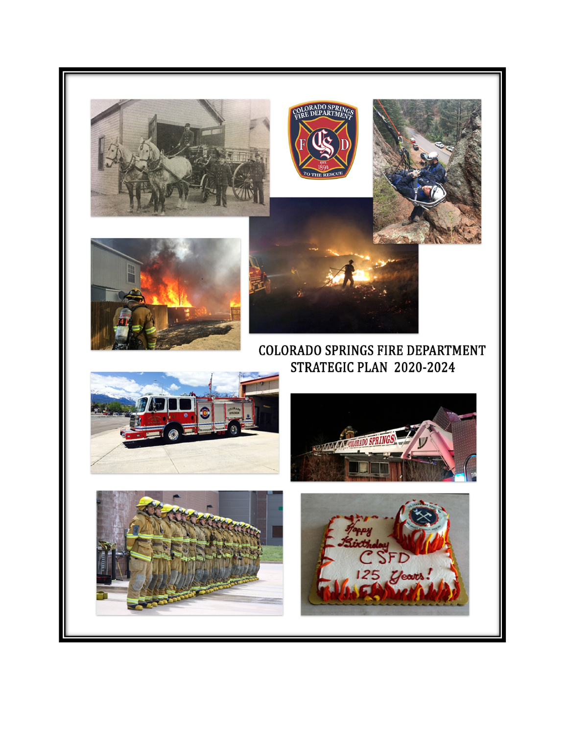









# COLORADO SPRINGS FIRE DEPARTMENT STRATEGIC PLAN 2020-2024







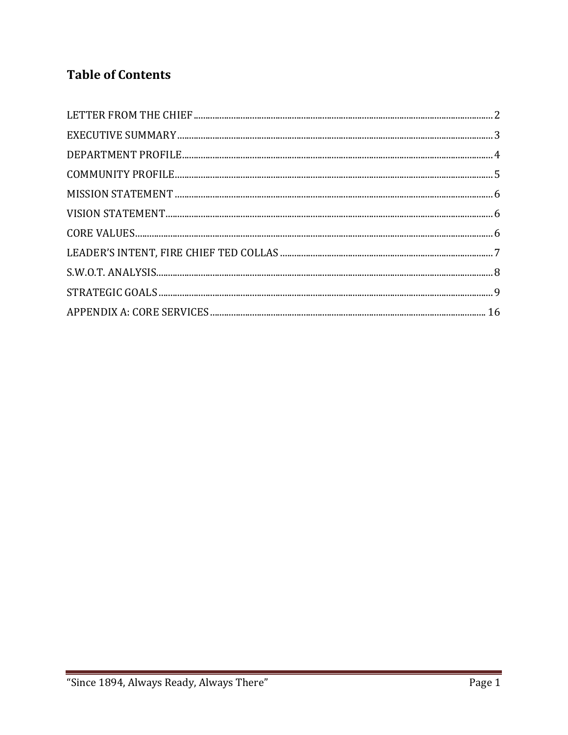# **Table of Contents**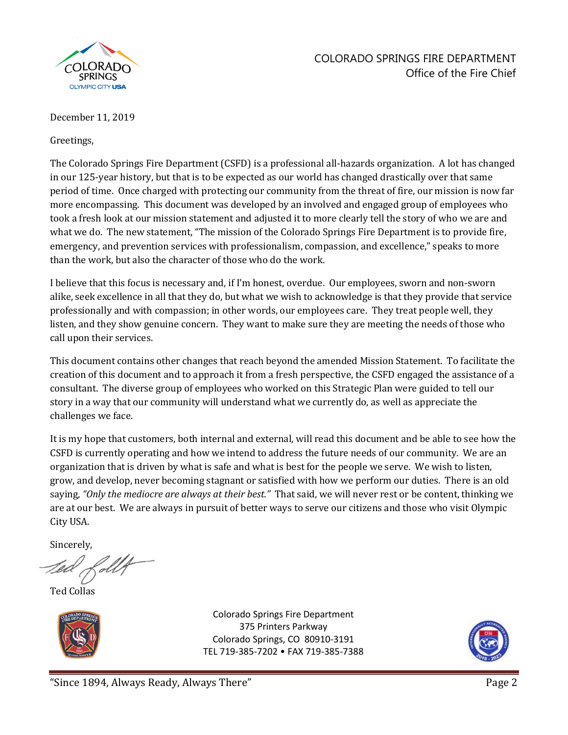

### COLORADO SPRINGS FIRE DEPARTMENT Office of the Fire Chief

#### December 11, 2019

Greetings,

The Colorado Springs Fire Department (CSFD) is a professional all-hazards organization. A lot has changed in our 125-year history, but that is to be expected as our world has changed drastically over that same period of time. Once charged with protecting our community from the threat of fire, our mission is now far more encompassing. This document was developed by an involved and engaged group of employees who took a fresh look at our mission statement and adjusted it to more clearly tell the story of who we are and what we do. The new statement, "The mission of the Colorado Springs Fire Department is to provide fire, emergency, and prevention services with professionalism, compassion, and excellence," speaks to more than the work, but also the character of those who do the work.

I believe that this focus is necessary and, if I'm honest, overdue. Our employees, sworn and non-sworn alike, seek excellence in all that they do, but what we wish to acknowledge is that they provide that service professionally and with compassion; in other words, our employees care. They treat people well, they listen, and they show genuine concern. They want to make sure they are meeting the needs of those who call upon their services.

This document contains other changes that reach beyond the amended Mission Statement. To facilitate the creation of this document and to approach it from a fresh perspective, the CSFD engaged the assistance of a consultant. The diverse group of employees who worked on this Strategic Plan were guided to tell our story in a way that our community will understand what we currently do, as well as appreciate the challenges we face.

It is my hope that customers, both internal and external, will read this document and be able to see how the CSFD is currently operating and how we intend to address the future needs of our community. We are an organization that is driven by what is safe and what is best for the people we serve. We wish to listen, grow, and develop, never becoming stagnant or satisfied with how we perform our duties. There is an old saying, *"Only the mediocre are always at their best."* That said, we will never rest or be content, thinking we are at our best. We are always in pursuit of better ways to serve our citizens and those who visit Olympic City USA.

Sincerely,

Ted Collas



Colorado Springs Fire Department 375 Printers Parkway Colorado Springs, CO 80910-3191 TEL 719-385-7202 • FAX 719-385-7388

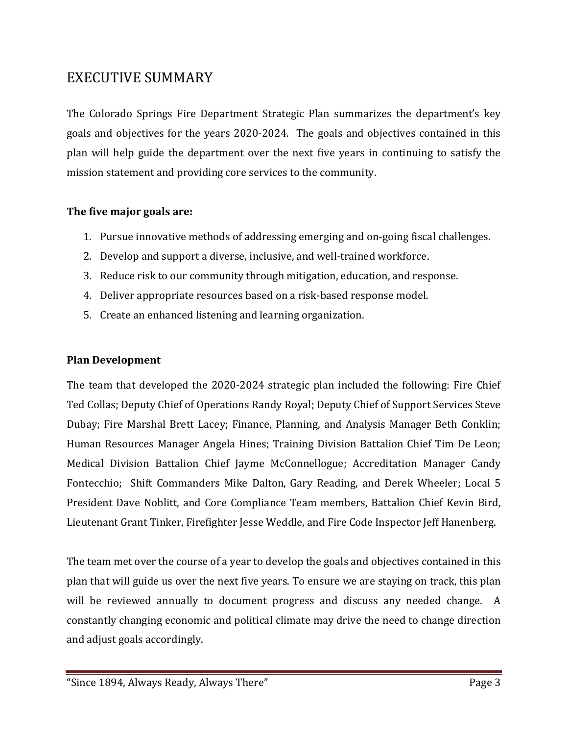# <span id="page-3-0"></span>EXECUTIVE SUMMARY

The Colorado Springs Fire Department Strategic Plan summarizes the department's key goals and objectives for the years 2020-2024. The goals and objectives contained in this plan will help guide the department over the next five years in continuing to satisfy the mission statement and providing core services to the community.

#### **The five major goals are:**

- 1. Pursue innovative methods of addressing emerging and on-going fiscal challenges.
- 2. Develop and support a diverse, inclusive, and well-trained workforce.
- 3. Reduce risk to our community through mitigation, education, and response.
- 4. Deliver appropriate resources based on a risk-based response model.
- 5. Create an enhanced listening and learning organization.

#### **Plan Development**

The team that developed the 2020-2024 strategic plan included the following: Fire Chief Ted Collas; Deputy Chief of Operations Randy Royal; Deputy Chief of Support Services Steve Dubay; Fire Marshal Brett Lacey; Finance, Planning, and Analysis Manager Beth Conklin; Human Resources Manager Angela Hines; Training Division Battalion Chief Tim De Leon; Medical Division Battalion Chief Jayme McConnellogue; Accreditation Manager Candy Fontecchio; Shift Commanders Mike Dalton, Gary Reading, and Derek Wheeler; Local 5 President Dave Noblitt, and Core Compliance Team members, Battalion Chief Kevin Bird, Lieutenant Grant Tinker, Firefighter Jesse Weddle, and Fire Code Inspector Jeff Hanenberg.

The team met over the course of a year to develop the goals and objectives contained in this plan that will guide us over the next five years. To ensure we are staying on track, this plan will be reviewed annually to document progress and discuss any needed change. A constantly changing economic and political climate may drive the need to change direction and adjust goals accordingly.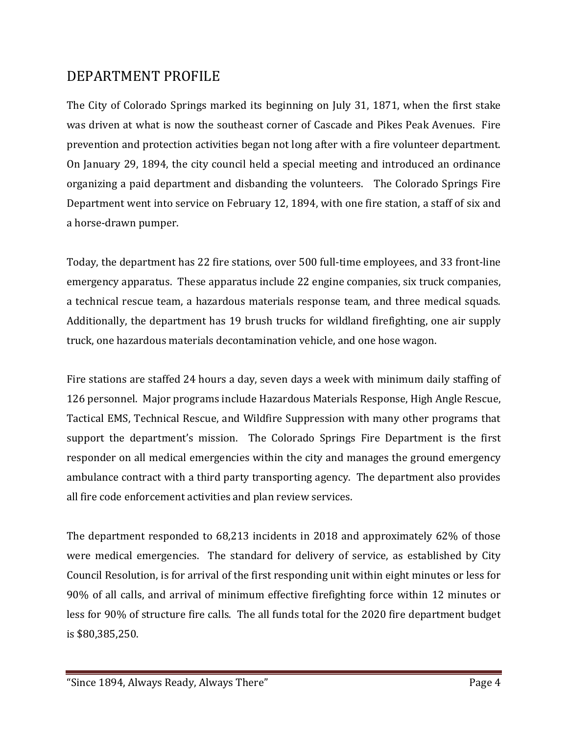# <span id="page-4-0"></span>DEPARTMENT PROFILE

The City of Colorado Springs marked its beginning on July 31, 1871, when the first stake was driven at what is now the southeast corner of Cascade and Pikes Peak Avenues. Fire prevention and protection activities began not long after with a fire volunteer department. On January 29, 1894, the city council held a special meeting and introduced an ordinance organizing a paid department and disbanding the volunteers. The Colorado Springs Fire Department went into service on February 12, 1894, with one fire station, a staff of six and a horse-drawn pumper.

Today, the department has 22 fire stations, over 500 full-time employees, and 33 front-line emergency apparatus. These apparatus include 22 engine companies, six truck companies, a technical rescue team, a hazardous materials response team, and three medical squads. Additionally, the department has 19 brush trucks for wildland firefighting, one air supply truck, one hazardous materials decontamination vehicle, and one hose wagon.

Fire stations are staffed 24 hours a day, seven days a week with minimum daily staffing of 126 personnel. Major programs include Hazardous Materials Response, High Angle Rescue, Tactical EMS, Technical Rescue, and Wildfire Suppression with many other programs that support the department's mission. The Colorado Springs Fire Department is the first responder on all medical emergencies within the city and manages the ground emergency ambulance contract with a third party transporting agency. The department also provides all fire code enforcement activities and plan review services.

The department responded to 68,213 incidents in 2018 and approximately 62% of those were medical emergencies. The standard for delivery of service, as established by City Council Resolution, is for arrival of the first responding unit within eight minutes or less for 90% of all calls, and arrival of minimum effective firefighting force within 12 minutes or less for 90% of structure fire calls. The all funds total for the 2020 fire department budget is \$80,385,250.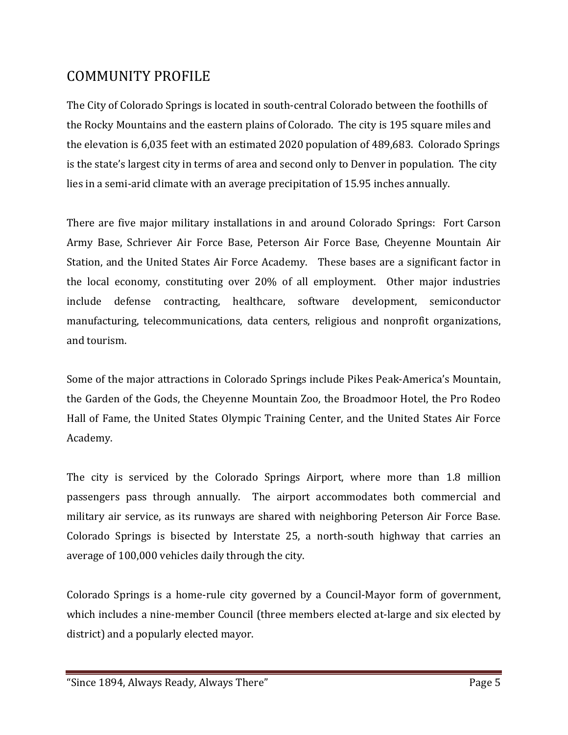# <span id="page-5-0"></span>COMMUNITY PROFILE

The City of Colorado Springs is located in south-central Colorado between the foothills of the Rocky Mountains and the eastern plains of Colorado. The city is 195 square miles and the elevation is 6,035 feet with an estimated 2020 population of 489,683. Colorado Springs is the state's largest city in terms of area and second only to Denver in population. The city lies in a semi-arid climate with an average precipitation of 15.95 inches annually.

There are five major military installations in and around Colorado Springs: Fort Carson Army Base, Schriever Air Force Base, Peterson Air Force Base, Cheyenne Mountain Air Station, and the United States Air Force Academy. These bases are a significant factor in the local economy, constituting over 20% of all employment. Other major industries include defense contracting, healthcare, software development, semiconductor manufacturing, telecommunications, data centers, religious and nonprofit organizations, and tourism.

Some of the major attractions in Colorado Springs include Pikes Peak-America's Mountain, the Garden of the Gods, the Cheyenne Mountain Zoo, the Broadmoor Hotel, the Pro Rodeo Hall of Fame, the United States Olympic Training Center, and the United States Air Force Academy.

The city is serviced by the Colorado Springs Airport, where more than 1.8 million passengers pass through annually. The airport accommodates both commercial and military air service, as its runways are shared with neighboring Peterson Air Force Base. Colorado Springs is bisected by Interstate 25, a north-south highway that carries an average of 100,000 vehicles daily through the city.

Colorado Springs is a home-rule city governed by a Council-Mayor form of government, which includes a nine-member Council (three members elected at-large and six elected by district) and a popularly elected mayor.

<sup>&</sup>quot;Since 1894, Always Ready, Always There" Page 5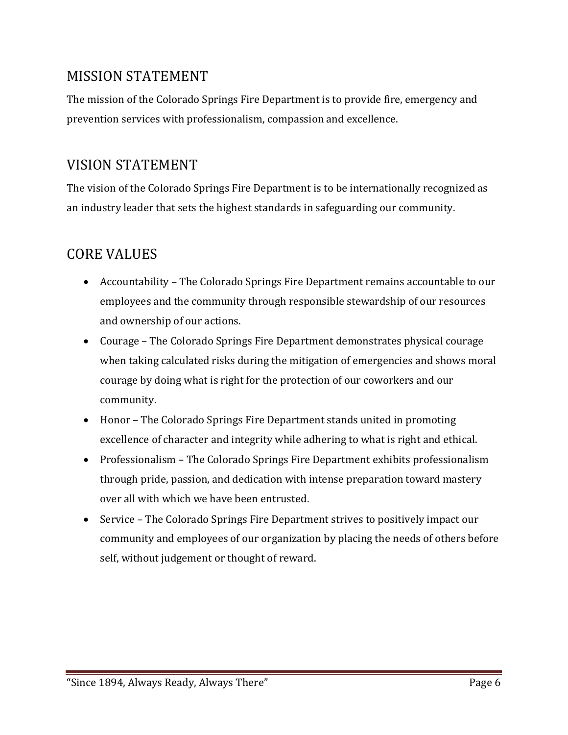# <span id="page-6-0"></span>MISSION STATEMENT

The mission of the Colorado Springs Fire Department is to provide fire, emergency and prevention services with professionalism, compassion and excellence.

# <span id="page-6-1"></span>VISION STATEMENT

The vision of the Colorado Springs Fire Department is to be internationally recognized as an industry leader that sets the highest standards in safeguarding our community.

# <span id="page-6-2"></span>CORE VALUES

- Accountability The Colorado Springs Fire Department remains accountable to our employees and the community through responsible stewardship of our resources and ownership of our actions.
- Courage The Colorado Springs Fire Department demonstrates physical courage when taking calculated risks during the mitigation of emergencies and shows moral courage by doing what is right for the protection of our coworkers and our community.
- Honor The Colorado Springs Fire Department stands united in promoting excellence of character and integrity while adhering to what is right and ethical.
- Professionalism The Colorado Springs Fire Department exhibits professionalism through pride, passion, and dedication with intense preparation toward mastery over all with which we have been entrusted.
- Service The Colorado Springs Fire Department strives to positively impact our community and employees of our organization by placing the needs of others before self, without judgement or thought of reward.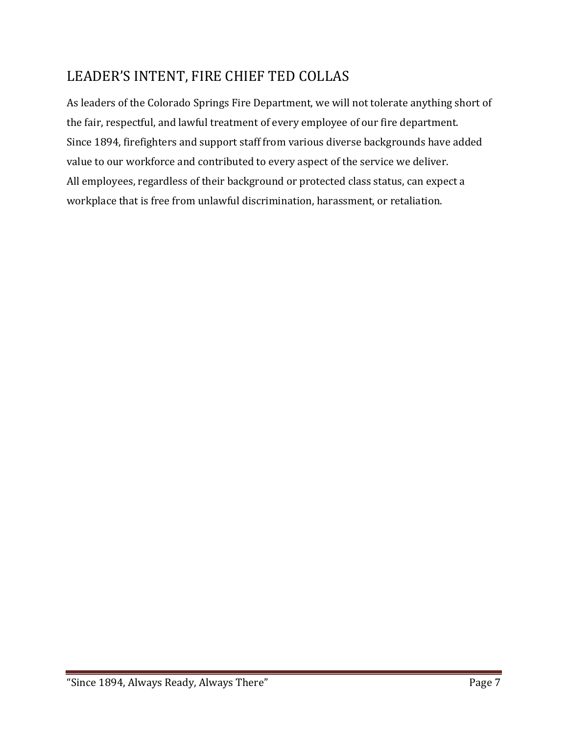# <span id="page-7-0"></span>LEADER'S INTENT, FIRE CHIEF TED COLLAS

As leaders of the Colorado Springs Fire Department, we will not tolerate anything short of the fair, respectful, and lawful treatment of every employee of our fire department. Since 1894, firefighters and support staff from various diverse backgrounds have added value to our workforce and contributed to every aspect of the service we deliver. All employees, regardless of their background or protected class status, can expect a workplace that is free from unlawful discrimination, harassment, or retaliation.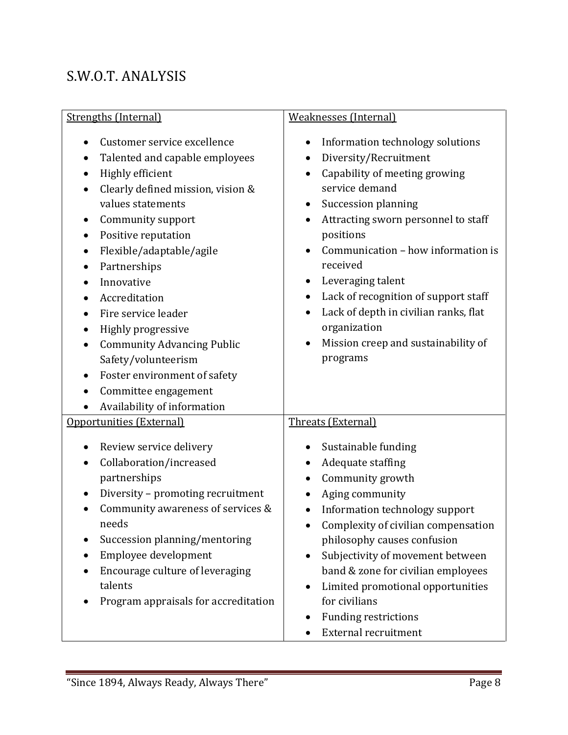# <span id="page-8-0"></span>S.W.O.T. ANALYSIS

| <b>Strengths (Internal)</b>                                                                                                                                                                                                                                                                                                                                                                                                                           | <b>Weaknesses (Internal)</b>                                                                                                                                                                                                                                                                                                                                                                                                                                                     |  |
|-------------------------------------------------------------------------------------------------------------------------------------------------------------------------------------------------------------------------------------------------------------------------------------------------------------------------------------------------------------------------------------------------------------------------------------------------------|----------------------------------------------------------------------------------------------------------------------------------------------------------------------------------------------------------------------------------------------------------------------------------------------------------------------------------------------------------------------------------------------------------------------------------------------------------------------------------|--|
| Customer service excellence<br>$\bullet$<br>Talented and capable employees<br>Highly efficient<br>Clearly defined mission, vision &<br>values statements<br>Community support<br>Positive reputation<br>٠<br>Flexible/adaptable/agile<br>Partnerships<br>Innovative<br>Accreditation<br>Fire service leader<br>Highly progressive<br><b>Community Advancing Public</b><br>Safety/volunteerism<br>Foster environment of safety<br>Committee engagement | Information technology solutions<br>٠<br>Diversity/Recruitment<br>$\bullet$<br>Capability of meeting growing<br>$\bullet$<br>service demand<br>Succession planning<br>Attracting sworn personnel to staff<br>positions<br>Communication - how information is<br>received<br>Leveraging talent<br>$\bullet$<br>Lack of recognition of support staff<br>٠<br>Lack of depth in civilian ranks, flat<br>organization<br>Mission creep and sustainability of<br>$\bullet$<br>programs |  |
| Availability of information<br>Opportunities (External)                                                                                                                                                                                                                                                                                                                                                                                               | Threats (External)                                                                                                                                                                                                                                                                                                                                                                                                                                                               |  |
| Review service delivery<br>Collaboration/increased<br>partnerships<br>Diversity - promoting recruitment<br>٠<br>Community awareness of services &<br>needs<br>Succession planning/mentoring<br>Employee development<br>Encourage culture of leveraging<br>talents<br>Program appraisals for accreditation                                                                                                                                             | Sustainable funding<br>$\bullet$<br>Adequate staffing<br>Community growth<br>Aging community<br>Information technology support<br>$\bullet$<br>Complexity of civilian compensation<br>philosophy causes confusion<br>Subjectivity of movement between<br>$\bullet$<br>band & zone for civilian employees<br>Limited promotional opportunities<br>for civilians<br><b>Funding restrictions</b><br><b>External recruitment</b>                                                     |  |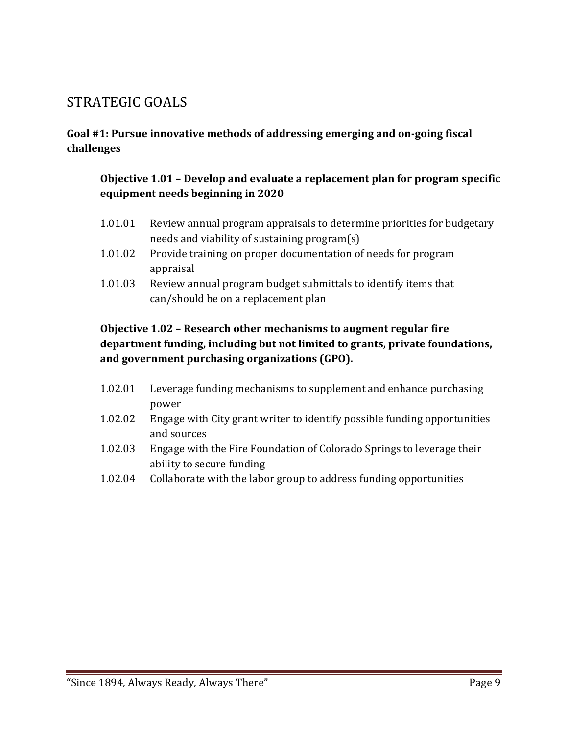# <span id="page-9-0"></span>STRATEGIC GOALS

#### **Goal #1: Pursue innovative methods of addressing emerging and on-going fiscal challenges**

#### **Objective 1.01 – Develop and evaluate a replacement plan for program specific equipment needs beginning in 2020**

- 1.01.01 Review annual program appraisals to determine priorities for budgetary needs and viability of sustaining program(s)
- 1.01.02 Provide training on proper documentation of needs for program appraisal
- 1.01.03 Review annual program budget submittals to identify items that can/should be on a replacement plan

#### **Objective 1.02 – Research other mechanisms to augment regular fire department funding, including but not limited to grants, private foundations, and government purchasing organizations (GPO).**

- 1.02.01 Leverage funding mechanisms to supplement and enhance purchasing power
- 1.02.02 Engage with City grant writer to identify possible funding opportunities and sources
- 1.02.03 Engage with the Fire Foundation of Colorado Springs to leverage their ability to secure funding
- 1.02.04 Collaborate with the labor group to address funding opportunities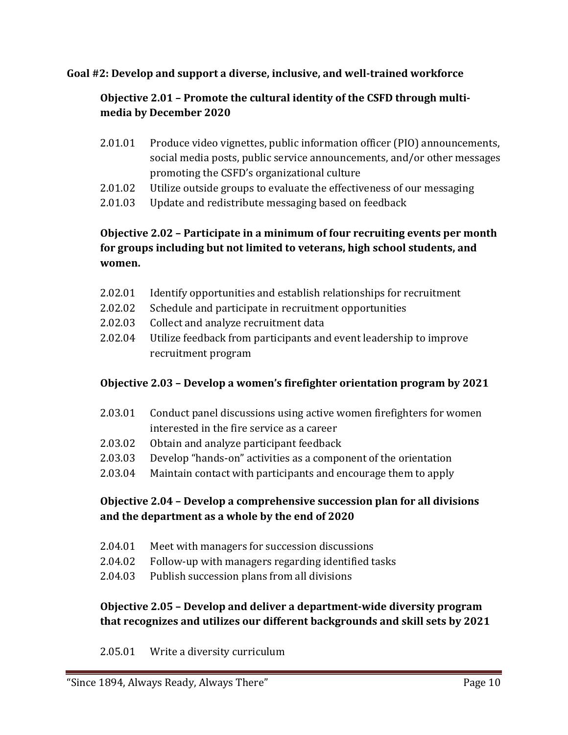#### **Goal #2: Develop and support a diverse, inclusive, and well-trained workforce**

## **Objective 2.01 – Promote the cultural identity of the CSFD through multimedia by December 2020**

- 2.01.01 Produce video vignettes, public information officer (PIO) announcements, social media posts, public service announcements, and/or other messages promoting the CSFD's organizational culture
- 2.01.02 Utilize outside groups to evaluate the effectiveness of our messaging
- 2.01.03 Update and redistribute messaging based on feedback

## **Objective 2.02 – Participate in a minimum of four recruiting events per month for groups including but not limited to veterans, high school students, and women.**

- 2.02.01 Identify opportunities and establish relationships for recruitment
- 2.02.02 Schedule and participate in recruitment opportunities<br>2.02.03 Collect and analyze recruitment data
- 2.02.03 Collect and analyze recruitment data
- 2.02.04 Utilize feedback from participants and event leadership to improve recruitment program

### **Objective 2.03 – Develop a women's firefighter orientation program by 2021**

- 2.03.01 Conduct panel discussions using active women firefighters for women interested in the fire service as a career
- 2.03.02 Obtain and analyze participant feedback
- 2.03.03 Develop "hands-on" activities as a component of the orientation
- 2.03.04 Maintain contact with participants and encourage them to apply

### **Objective 2.04 – Develop a comprehensive succession plan for all divisions and the department as a whole by the end of 2020**

- 2.04.01 Meet with managers for succession discussions
- 2.04.02 Follow-up with managers regarding identified tasks
- 2.04.03 Publish succession plans from all divisions

### **Objective 2.05 – Develop and deliver a department-wide diversity program that recognizes and utilizes our different backgrounds and skill sets by 2021**

2.05.01 Write a diversity curriculum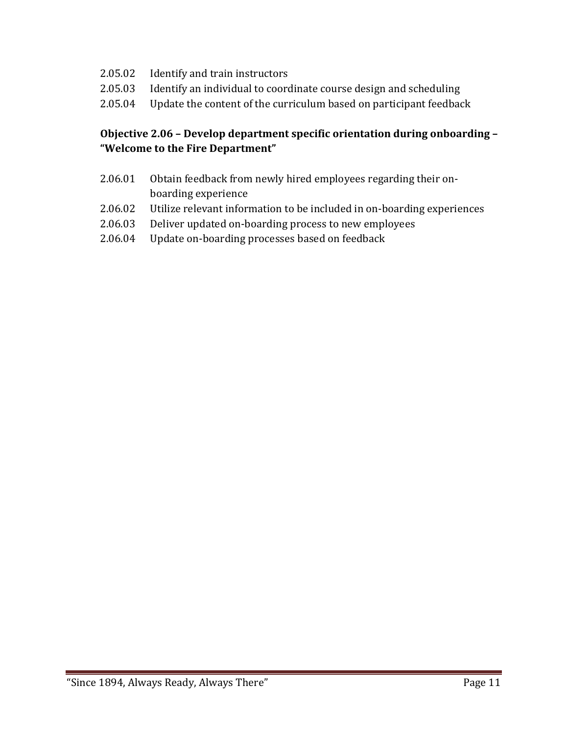- 2.05.02 Identify and train instructors<br>2.05.03 Identify an individual to coord
- 2.05.03 Identify an individual to coordinate course design and scheduling<br>2.05.04 Update the content of the curriculum based on participant feedbac
- Update the content of the curriculum based on participant feedback

#### **Objective 2.06 – Develop department specific orientation during onboarding – "Welcome to the Fire Department"**

- 2.06.01 Obtain feedback from newly hired employees regarding their onboarding experience
- 2.06.02 Utilize relevant information to be included in on-boarding experiences
- 2.06.03 Deliver updated on-boarding process to new employees
- 2.06.04 Update on-boarding processes based on feedback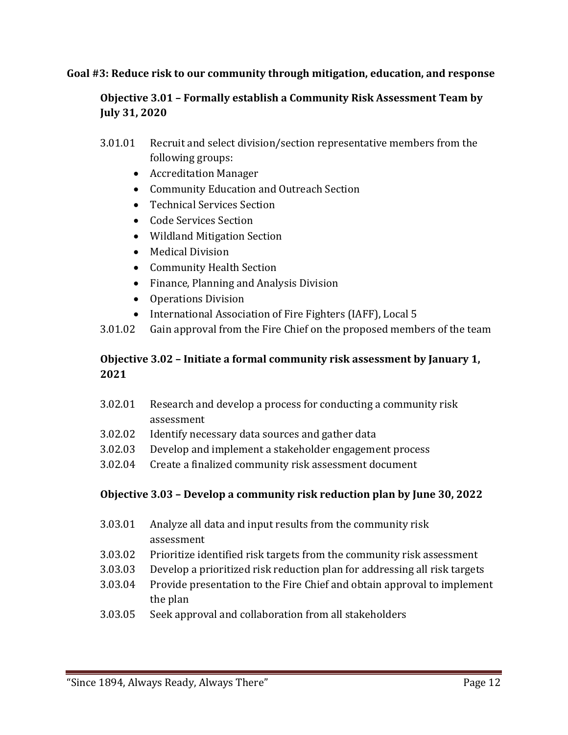#### **Goal #3: Reduce risk to our community through mitigation, education, and response**

#### **Objective 3.01 – Formally establish a Community Risk Assessment Team by July 31, 2020**

- 3.01.01 Recruit and select division/section representative members from the following groups:
	- Accreditation Manager
	- Community Education and Outreach Section
	- Technical Services Section
	- Code Services Section
	- Wildland Mitigation Section
	- Medical Division
	- Community Health Section
	- Finance, Planning and Analysis Division
	- Operations Division
	- International Association of Fire Fighters (IAFF), Local 5
- 3.01.02 Gain approval from the Fire Chief on the proposed members of the team

### **Objective 3.02 – Initiate a formal community risk assessment by January 1, 2021**

- 3.02.01 Research and develop a process for conducting a community risk assessment
- 3.02.02 Identify necessary data sources and gather data
- 3.02.03 Develop and implement a stakeholder engagement process
- 3.02.04 Create a finalized community risk assessment document

#### **Objective 3.03 – Develop a community risk reduction plan by June 30, 2022**

- 3.03.01 Analyze all data and input results from the community risk assessment
- 3.03.02 Prioritize identified risk targets from the community risk assessment
- 3.03.03 Develop a prioritized risk reduction plan for addressing all risk targets
- 3.03.04 Provide presentation to the Fire Chief and obtain approval to implement the plan
- 3.03.05 Seek approval and collaboration from all stakeholders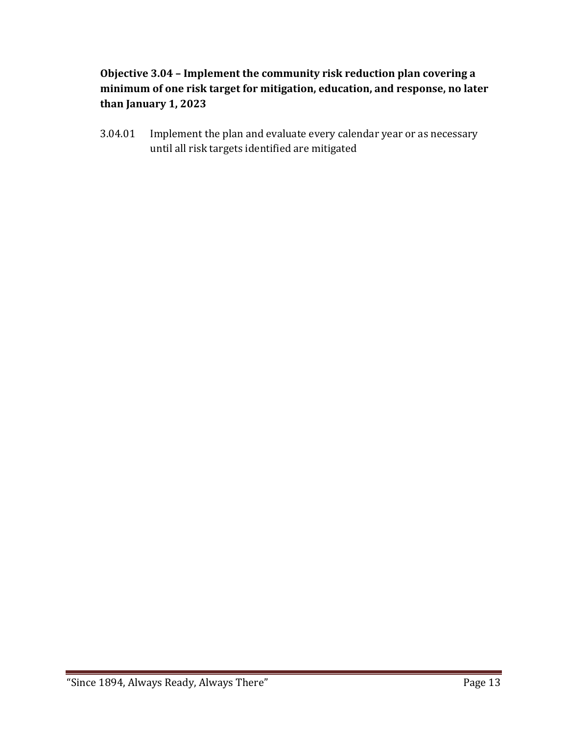## **Objective 3.04 – Implement the community risk reduction plan covering a minimum of one risk target for mitigation, education, and response, no later than January 1, 2023**

3.04.01 Implement the plan and evaluate every calendar year or as necessary until all risk targets identified are mitigated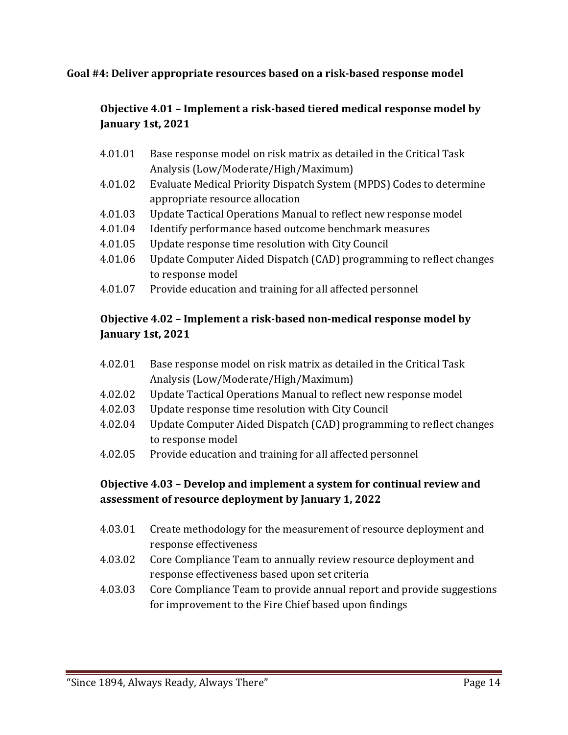#### **Goal #4: Deliver appropriate resources based on a risk-based response model**

## **Objective 4.01 – Implement a risk-based tiered medical response model by January 1st, 2021**

- 4.01.01 Base response model on risk matrix as detailed in the Critical Task Analysis (Low/Moderate/High/Maximum)
- 4.01.02 Evaluate Medical Priority Dispatch System (MPDS) Codes to determine appropriate resource allocation
- 4.01.03 Update Tactical Operations Manual to reflect new response model<br>4.01.04 Identify performance based outcome benchmark measures
- Identify performance based outcome benchmark measures
- 4.01.05 Update response time resolution with City Council
- 4.01.06 Update Computer Aided Dispatch (CAD) programming to reflect changes to response model
- 4.01.07 Provide education and training for all affected personnel

## **Objective 4.02 – Implement a risk-based non-medical response model by January 1st, 2021**

- 4.02.01 Base response model on risk matrix as detailed in the Critical Task Analysis (Low/Moderate/High/Maximum)
- 4.02.02 Update Tactical Operations Manual to reflect new response model
- 4.02.03 Update response time resolution with City Council
- 4.02.04 Update Computer Aided Dispatch (CAD) programming to reflect changes to response model
- 4.02.05 Provide education and training for all affected personnel

## **Objective 4.03 – Develop and implement a system for continual review and assessment of resource deployment by January 1, 2022**

- 4.03.01 Create methodology for the measurement of resource deployment and response effectiveness
- 4.03.02 Core Compliance Team to annually review resource deployment and response effectiveness based upon set criteria
- 4.03.03 Core Compliance Team to provide annual report and provide suggestions for improvement to the Fire Chief based upon findings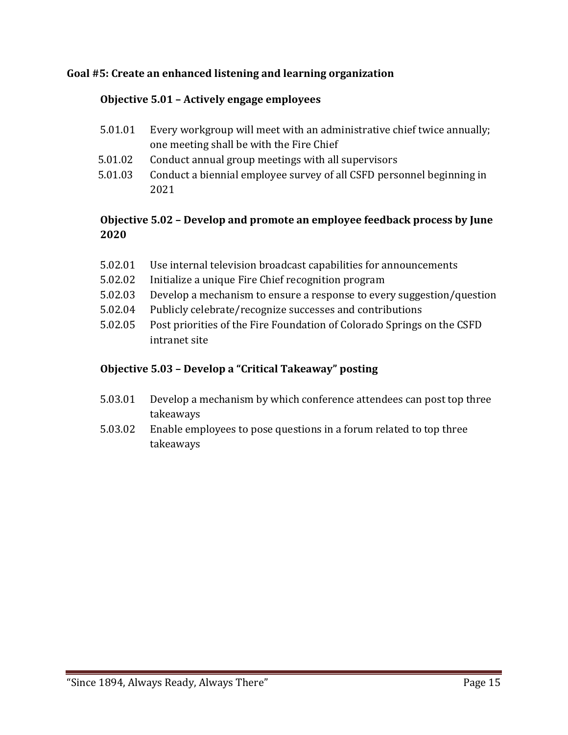#### **Goal #5: Create an enhanced listening and learning organization**

#### **Objective 5.01 – Actively engage employees**

- 5.01.01 Every workgroup will meet with an administrative chief twice annually; one meeting shall be with the Fire Chief
- 5.01.02 Conduct annual group meetings with all supervisors
- 5.01.03 Conduct a biennial employee survey of all CSFD personnel beginning in 2021

#### **Objective 5.02 – Develop and promote an employee feedback process by June 2020**

- 5.02.01 Use internal television broadcast capabilities for announcements<br>5.02.02 Initialize a unique Fire Chief recognition program
- Initialize a unique Fire Chief recognition program
- 5.02.03 Develop a mechanism to ensure a response to every suggestion/question
- 5.02.04 Publicly celebrate/recognize successes and contributions
- 5.02.05 Post priorities of the Fire Foundation of Colorado Springs on the CSFD intranet site

#### **Objective 5.03 – Develop a "Critical Takeaway" posting**

- 5.03.01 Develop a mechanism by which conference attendees can post top three takeaways
- 5.03.02 Enable employees to pose questions in a forum related to top three takeaways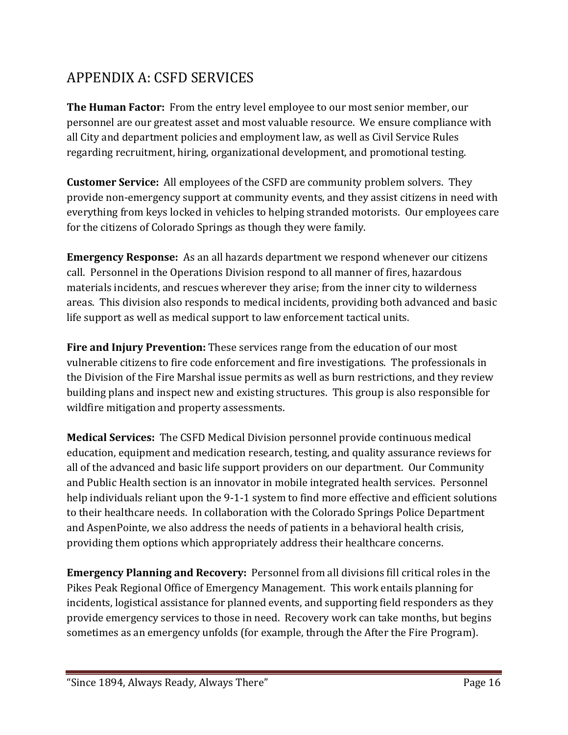# <span id="page-16-0"></span>APPENDIX A: CSFD SERVICES

**The Human Factor:** From the entry level employee to our most senior member, our personnel are our greatest asset and most valuable resource. We ensure compliance with all City and department policies and employment law, as well as Civil Service Rules regarding recruitment, hiring, organizational development, and promotional testing.

**Customer Service:** All employees of the CSFD are community problem solvers. They provide non-emergency support at community events, and they assist citizens in need with everything from keys locked in vehicles to helping stranded motorists. Our employees care for the citizens of Colorado Springs as though they were family.

**Emergency Response:** As an all hazards department we respond whenever our citizens call. Personnel in the Operations Division respond to all manner of fires, hazardous materials incidents, and rescues wherever they arise; from the inner city to wilderness areas. This division also responds to medical incidents, providing both advanced and basic life support as well as medical support to law enforcement tactical units.

**Fire and Injury Prevention:** These services range from the education of our most vulnerable citizens to fire code enforcement and fire investigations. The professionals in the Division of the Fire Marshal issue permits as well as burn restrictions, and they review building plans and inspect new and existing structures. This group is also responsible for wildfire mitigation and property assessments.

**Medical Services:** The CSFD Medical Division personnel provide continuous medical education, equipment and medication research, testing, and quality assurance reviews for all of the advanced and basic life support providers on our department. Our Community and Public Health section is an innovator in mobile integrated health services. Personnel help individuals reliant upon the 9-1-1 system to find more effective and efficient solutions to their healthcare needs. In collaboration with the Colorado Springs Police Department and AspenPointe, we also address the needs of patients in a behavioral health crisis, providing them options which appropriately address their healthcare concerns.

**Emergency Planning and Recovery:** Personnel from all divisions fill critical roles in the Pikes Peak Regional Office of Emergency Management. This work entails planning for incidents, logistical assistance for planned events, and supporting field responders as they provide emergency services to those in need. Recovery work can take months, but begins sometimes as an emergency unfolds (for example, through the After the Fire Program).